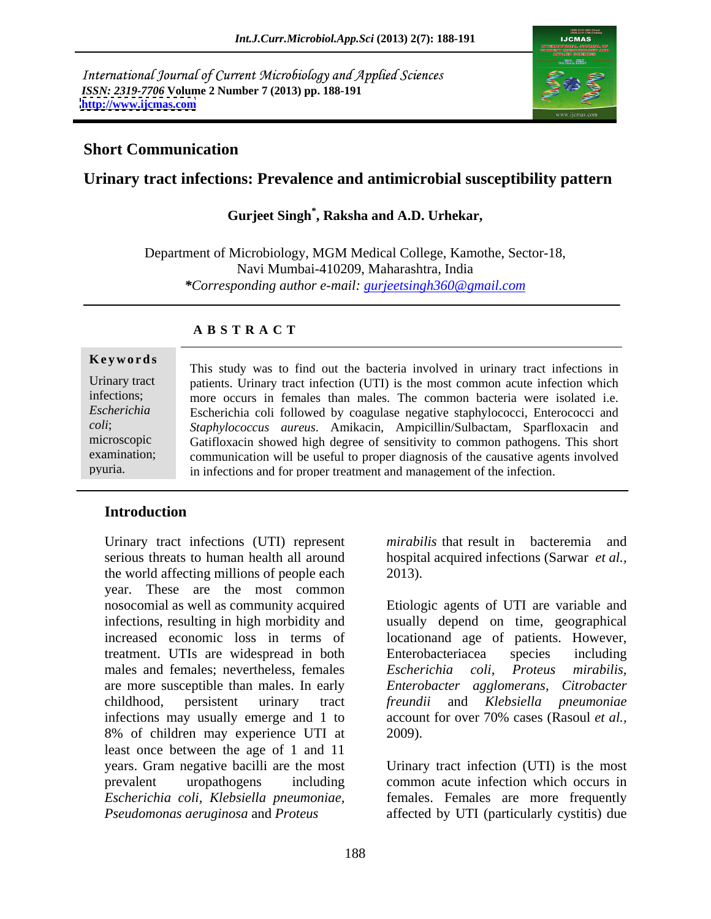International Journal of Current Microbiology and Applied Sciences *ISSN: 2319-7706* **Volume 2 Number 7 (2013) pp. 188-191 <http://www.ijcmas.com>**



## **Short Communication**

## **Urinary tract infections: Prevalence and antimicrobial susceptibility pattern**

## **Gurjeet Singh\* , Raksha and A.D. Urhekar,**

Department of Microbiology, MGM Medical College, Kamothe, Sector-18, Navi Mumbai-410209, Maharashtra, India *\*Corresponding author e-mail: gurjeetsingh360@gmail.com*

### **A B S T R A C T**

**Keywords** This study was to find out the bacteria involved in urinary tract infections in Urinary tract patients. Urinary tract infection (UTI) is the most common acute infection which infections; more occurs in females than males. The common bacteria were isolated i.e. *Escherichia*  Escherichia coli followed by coagulase negative staphylococci, Enterococci and *coli*; *Staphylococcus aureus*. Amikacin, Ampicillin/Sulbactam, Sparfloxacin and microscopic Gatifloxacin showed high degree of sensitivity to common pathogens. This short examination; communication will be useful to proper diagnosis of the causative agents involved pyuria. in infections and for proper treatment and management of the infection.

### **Introduction**

Urinary tract infections (UTI) represent serious threats to human health all around the world affecting millions of people each 2013). year. These are the most common nosocomial as well as community acquired Etiologic agents of UTI are variable and infections, resulting in high morbidity and usually depend on time, geographical increased economic loss in terms of locationand age of patients. However, treatment. UTIs are widespread in both males and females; nevertheless, females Escherichia coli, Proteus mirabilis, are more susceptible than males. In early *Enterobacter agglomerans, Citrobacter* childhood, persistent urinary tract *freundii* and *Klebsiella pneumoniae* infections may usually emerge and 1 to account for over 70% cases (Rasoul *et al.,* 8% of children may experience UTI at least once between the age of 1 and 11 years. Gram negative bacilli are the most Urinary tract infection (UTI) is the most prevalent uropathogens including common acute infection which occurs in *Escherichia coli, Klebsiella pneumoniae,* females. Females are more frequently *Pseudomonas aeruginosa* and *Proteus*  affected by UTI (particularly cystitis) due

*mirabilis* that result in bacteremia and hospital acquired infections (Sarwar *et al.*,

Enterobacteriacea species including *Escherichia coli, Proteus mirabilis,* 2009).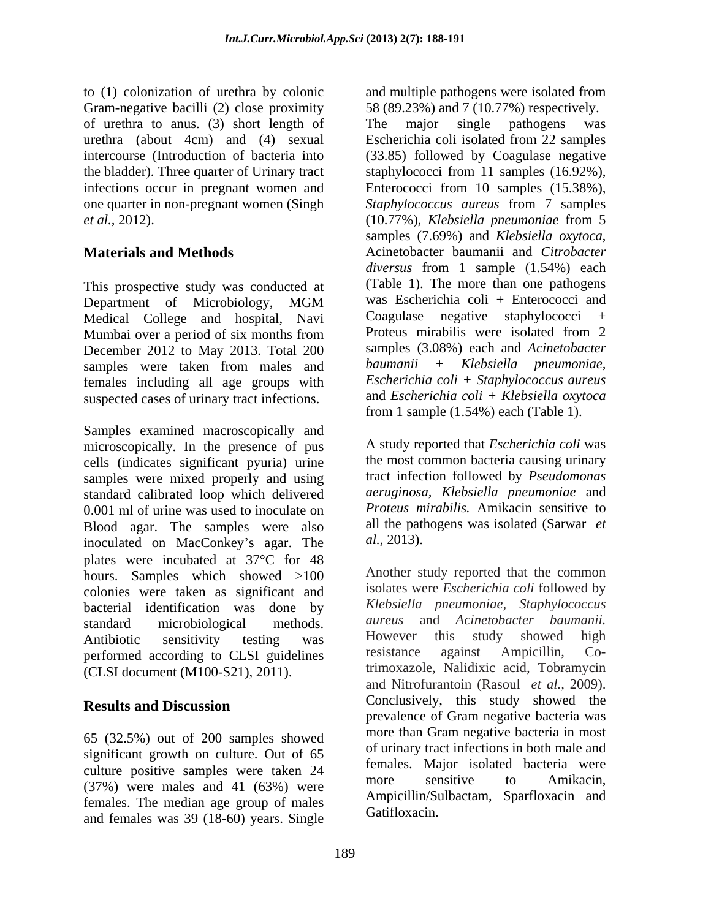to (1) colonization of urethra by colonic and multiple pathogens were isolated from of urethra to anus. (3) short length of urethra (about 4cm) and (4) sexual *et al.,* 2012).

This prospective study was conducted at Medical College and hospital, Navi Mumbai over a period of six months from December 2012 to May 2013. Total 200 samples (3.08%) each and *Acinetobacter*<br>samples were taken from males and *baumanii* + *Klebsiella pneumoniae*, females including all age groups with suspected cases of urinary tract infections.

Samples examined macroscopically and microscopically. In the presence of pus cells (indicates significant pyuria) urine samples were mixed properly and using standard calibrated loop which delivered 0.001 ml of urine was used to inoculate on Blood agar. The samples were also all the path inoculated on MacConkey's agar. The  $al., 2013$ . inoculated on MacConkey's agar. The plates were incubated at  $37^{\circ}$ C for 48 hours. Samples which showed  $>100$ colonies were taken as significant and bacterial identification was done by standard microbiological methods. *aureus* and *Acinetobacter baumanii.* Antibiotic sensitivity testing was However this study showed high performed according to CLSI guidelines resistance against Ampicillin, Co-(CLSI document (M100-S21), 2011).

65 (32.5%) out of 200 samples showed significant growth on culture. Out of 65 culture positive samples were taken 24 and temates. Major isolated bacteria were<br>more sensitive to Amikacin, (37%) were males and 41 (63%) were females. The median age group of males and females was 39 (18-60) years. Single

Gram-negative bacilli (2) close proximity 58 (89.23%) and 7 (10.77%) respectively. intercourse (Introduction of bacteria into (33.85) followed by Coagulase negative the bladder). Three quarter of Urinary tract staphylococci from 11 samples (16.92%), infections occur in pregnant women and Enterococci from 10 samples (15.38%), one quarter in non-pregnant women (Singh *Staphylococcus aureus* from 7 samples **Materials and Methods Materials and Methods Materials and Methods Materials and Scitter Materials Materials Materials Materials Materials Materials Materials Materials Materials Materials Mater** Department of Microbiology, MGM was Escherichia coli + Enterococci and samples were taken from males and baumanii + Klebsiella pneumoniae, The major single pathogens was Escherichia coli isolated from 22 samples (10.77%), *Klebsiella pneumoniae* from 5 samples (7.69%) and *Klebsiella oxytoca*, Acinetobacter baumanii and *Citrobacter diversus* from 1 sample (1.54%) each (Table 1). The more than one pathogens was Escherichia coli + Enterococci and Coagulase negative staphylococci Proteus mirabilis were isolated from 2 samples (3.08%) each and *Acinetobacter baumanii + Klebsiella pneumoniae, Escherichia coli + Staphylococcus aureus* and *Escherichia coli + Klebsiella oxytoca* from 1 sample (1.54%) each (Table 1).

> A study reported that *Escherichia coli* was the most common bacteria causing urinary tract infection followed by *Pseudomonas aeruginosa, Klebsiella pneumoniae* and *Proteus mirabilis.* Amikacin sensitive to all the pathogens was isolated (Sarwar *et al.,* 2013).

**Results and Discussion** Conclusively, this study showed the Another study reported that the common isolates were *Escherichia coli* followed by *Klebsiella pneumoniae, Staphylococcus* However this study showed high resistance against Ampicillin, Cotrimoxazole, Nalidixic acid, Tobramycin and Nitrofurantoin (Rasoul *et al.,* 2009). Conclusively, this study showed the prevalence of Gram negative bacteria was more than Gram negative bacteria in most of urinary tract infections in both male and females. Major isolated bacteria were more sensitive to Amikacin, Ampicillin/Sulbactam, Sparfloxacin and Gatifloxacin.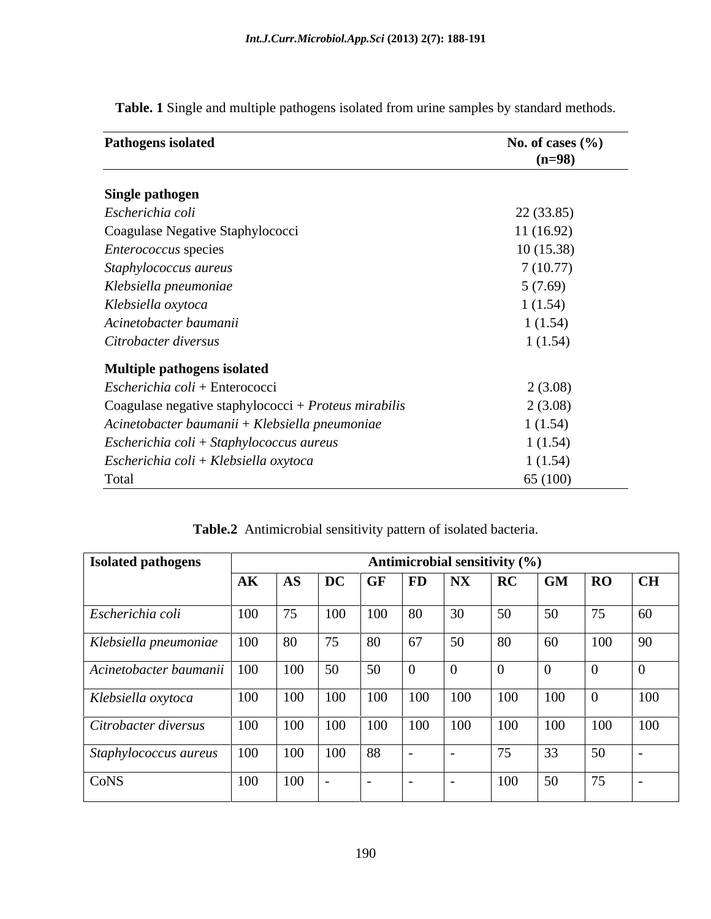| <b>Pathogens isolated</b>                              | No. of cases $(\%$ |
|--------------------------------------------------------|--------------------|
|                                                        | $(n=98)$           |
| <b>Single pathogen</b>                                 |                    |
| Escherichia coli                                       | 22(33.85)          |
| Coagulase Negative Staphylococci                       | 11(16.92)          |
| <i>Enterococcus</i> species                            | 10(15.38)          |
| Staphylococcus aureus                                  | 7(10.77)           |
| Klebsiella pneumoniae                                  | 5(7.69)            |
| Klebsiella oxytoca                                     | 1(1.54)            |
| Acinetobacter baumanii                                 | 1(1.54)            |
| Citrobacter diversus                                   | 1(1.54)            |
| Multiple pathogens isolated                            |                    |
| Escherichia coli + Enterococci                         | 2(3.08)            |
| Coagulase negative staphylococci + $Proteus$ mirabilis | 2(3.08)            |
| Acinetobacter baumanii + Klebsiella pneumoniae         | 1(1.54)            |
| Escherichia coli + Staphylococcus aureus               | 1(1.54)            |
| Escherichia coli + Klebsiella oxytoca                  | 1(1.54)            |
| Total                                                  | 65 (100)           |

**Table. 1** Single and multiple pathogens isolated from urine samples by standard methods.

| <b>Isolated pathogens</b>                                         |     |                                                                   |                       | Antimicrobial sensitivity $(\% )$                                                             |    |     |                                                           |                                                                    |
|-------------------------------------------------------------------|-----|-------------------------------------------------------------------|-----------------------|-----------------------------------------------------------------------------------------------|----|-----|-----------------------------------------------------------|--------------------------------------------------------------------|
|                                                                   |     |                                                                   |                       |                                                                                               |    |     | AK AS DC GF FD NX RC GM RO CH                             |                                                                    |
| Escherichia coli                                                  |     | $\begin{array}{ c c c c c } \hline 100 & 75 \\\hline \end{array}$ |                       | $100 \t 100 \t 80 \t 30 \t 50$                                                                |    |     | 75                                                        |                                                                    |
| Klebsiella pneumoniae   100   80   75   80   67                   |     |                                                                   |                       | $\boxed{50}$                                                                                  | 80 |     |                                                           | $\begin{array}{ c c c c c } \hline 100 & 90 \\ \hline \end{array}$ |
| $\vert$ Acinetobacter baumanii $\vert$ 100 $\vert$ 100 $\vert$ 50 |     |                                                                   | $\sqrt{50}$<br>$\sim$ |                                                                                               |    |     |                                                           |                                                                    |
| Klebsiella oxytoca                                                | 100 |                                                                   |                       | $\vert$ 100 $\vert$ 100 $\vert$ 100 $\vert$ 100 $\vert$ 100 $\vert$ 100 $\vert$ 100 $\vert$ 0 |    |     |                                                           | 100                                                                |
| Citrobacter diversus                                              |     |                                                                   |                       |                                                                                               |    |     | 100   100   100   100   100   100   100   100   100   100 |                                                                    |
| Staphylococcus aureus   100   100   100   88   -                  |     |                                                                   |                       |                                                                                               | 75 |     | 50                                                        |                                                                    |
| CoNS                                                              |     | 100 100                                                           |                       |                                                                                               |    | 100 |                                                           |                                                                    |

**Table.2** Antimicrobial sensitivity pattern of isolated bacteria.